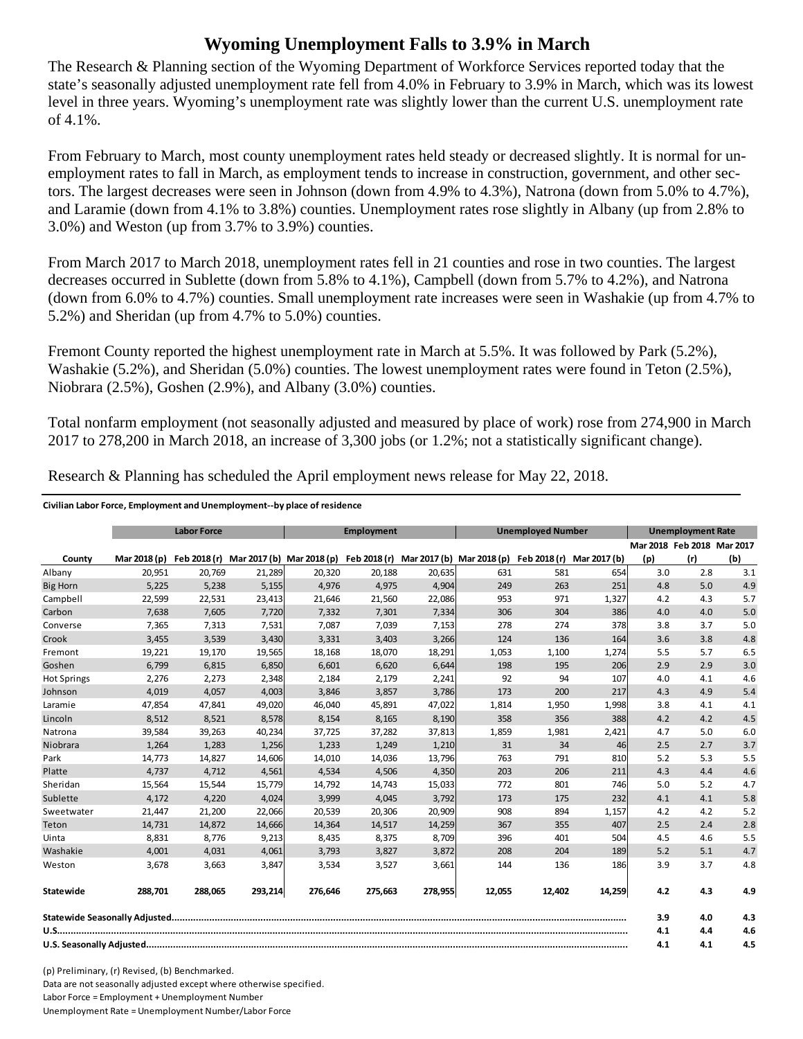## **Wyoming Unemployment Falls to 3.9% in March**

The Research & Planning section of the Wyoming Department of Workforce Services reported today that the state's seasonally adjusted unemployment rate fell from 4.0% in February to 3.9% in March, which was its lowest level in three years. Wyoming's unemployment rate was slightly lower than the current U.S. unemployment rate of 4.1%.

From February to March, most county unemployment rates held steady or decreased slightly. It is normal for unemployment rates to fall in March, as employment tends to increase in construction, government, and other sectors. The largest decreases were seen in Johnson (down from 4.9% to 4.3%), Natrona (down from 5.0% to 4.7%), and Laramie (down from 4.1% to 3.8%) counties. Unemployment rates rose slightly in Albany (up from 2.8% to 3.0%) and Weston (up from 3.7% to 3.9%) counties.

From March 2017 to March 2018, unemployment rates fell in 21 counties and rose in two counties. The largest decreases occurred in Sublette (down from 5.8% to 4.1%), Campbell (down from 5.7% to 4.2%), and Natrona (down from 6.0% to 4.7%) counties. Small unemployment rate increases were seen in Washakie (up from 4.7% to 5.2%) and Sheridan (up from 4.7% to 5.0%) counties.

Fremont County reported the highest unemployment rate in March at 5.5%. It was followed by Park (5.2%), Washakie (5.2%), and Sheridan (5.0%) counties. The lowest unemployment rates were found in Teton (2.5%), Niobrara (2.5%), Goshen (2.9%), and Albany (3.0%) counties.

Total nonfarm employment (not seasonally adjusted and measured by place of work) rose from 274,900 in March 2017 to 278,200 in March 2018, an increase of 3,300 jobs (or 1.2%; not a statistically significant change).

|                    |              | <b>Employment</b><br><b>Unemployed Number</b><br><b>Labor Force</b> |         |                           |         | <b>Unemployment Rate</b> |                                                     |        |              |     |                            |     |
|--------------------|--------------|---------------------------------------------------------------------|---------|---------------------------|---------|--------------------------|-----------------------------------------------------|--------|--------------|-----|----------------------------|-----|
|                    |              |                                                                     |         |                           |         |                          |                                                     |        |              |     | Mar 2018 Feb 2018 Mar 2017 |     |
| County             | Mar 2018 (p) | Feb 2018 (r)                                                        |         | Mar 2017 (b) Mar 2018 (p) |         |                          | Feb 2018 (r) Mar 2017 (b) Mar 2018 (p) Feb 2018 (r) |        | Mar 2017 (b) | (p) | (r)                        | (b) |
| Albany             | 20,951       | 20,769                                                              | 21,289  | 20,320                    | 20,188  | 20,635                   | 631                                                 | 581    | 654          | 3.0 | 2.8                        | 3.1 |
| <b>Big Horn</b>    | 5,225        | 5,238                                                               | 5,155   | 4,976                     | 4,975   | 4,904                    | 249                                                 | 263    | 251          | 4.8 | 5.0                        | 4.9 |
| Campbell           | 22,599       | 22,531                                                              | 23,413  | 21,646                    | 21,560  | 22,086                   | 953                                                 | 971    | 1,327        | 4.2 | 4.3                        | 5.7 |
| Carbon             | 7,638        | 7,605                                                               | 7,720   | 7,332                     | 7,301   | 7,334                    | 306                                                 | 304    | 386          | 4.0 | 4.0                        | 5.0 |
| Converse           | 7,365        | 7,313                                                               | 7,531   | 7,087                     | 7,039   | 7,153                    | 278                                                 | 274    | 378          | 3.8 | 3.7                        | 5.0 |
| Crook              | 3,455        | 3,539                                                               | 3,430   | 3,331                     | 3,403   | 3,266                    | 124                                                 | 136    | 164          | 3.6 | 3.8                        | 4.8 |
| Fremont            | 19,221       | 19,170                                                              | 19,565  | 18,168                    | 18,070  | 18,291                   | 1,053                                               | 1,100  | 1,274        | 5.5 | 5.7                        | 6.5 |
| Goshen             | 6,799        | 6,815                                                               | 6,850   | 6,601                     | 6,620   | 6,644                    | 198                                                 | 195    | 206          | 2.9 | 2.9                        | 3.0 |
| <b>Hot Springs</b> | 2,276        | 2,273                                                               | 2,348   | 2,184                     | 2,179   | 2,241                    | 92                                                  | 94     | 107          | 4.0 | 4.1                        | 4.6 |
| Johnson            | 4,019        | 4,057                                                               | 4,003   | 3,846                     | 3,857   | 3,786                    | 173                                                 | 200    | 217          | 4.3 | 4.9                        | 5.4 |
| Laramie            | 47,854       | 47,841                                                              | 49,020  | 46,040                    | 45,891  | 47,022                   | 1,814                                               | 1,950  | 1,998        | 3.8 | 4.1                        | 4.1 |
| Lincoln            | 8,512        | 8,521                                                               | 8,578   | 8,154                     | 8,165   | 8,190                    | 358                                                 | 356    | 388          | 4.2 | 4.2                        | 4.5 |
| Natrona            | 39,584       | 39,263                                                              | 40,234  | 37,725                    | 37,282  | 37,813                   | 1,859                                               | 1,981  | 2,421        | 4.7 | 5.0                        | 6.0 |
| Niobrara           | 1,264        | 1,283                                                               | 1,256   | 1,233                     | 1,249   | 1,210                    | 31                                                  | 34     | 46           | 2.5 | 2.7                        | 3.7 |
| Park               | 14,773       | 14,827                                                              | 14,606  | 14,010                    | 14,036  | 13,796                   | 763                                                 | 791    | 810          | 5.2 | 5.3                        | 5.5 |
| Platte             | 4,737        | 4,712                                                               | 4,561   | 4,534                     | 4,506   | 4,350                    | 203                                                 | 206    | 211          | 4.3 | 4.4                        | 4.6 |
| Sheridan           | 15,564       | 15,544                                                              | 15,779  | 14,792                    | 14,743  | 15,033                   | 772                                                 | 801    | 746          | 5.0 | 5.2                        | 4.7 |
| Sublette           | 4,172        | 4,220                                                               | 4,024   | 3,999                     | 4,045   | 3,792                    | 173                                                 | 175    | 232          | 4.1 | 4.1                        | 5.8 |
| Sweetwater         | 21,447       | 21,200                                                              | 22,066  | 20,539                    | 20,306  | 20,909                   | 908                                                 | 894    | 1,157        | 4.2 | 4.2                        | 5.2 |
| Teton              | 14,731       | 14,872                                                              | 14,666  | 14,364                    | 14,517  | 14,259                   | 367                                                 | 355    | 407          | 2.5 | 2.4                        | 2.8 |
| Uinta              | 8,831        | 8,776                                                               | 9,213   | 8,435                     | 8,375   | 8,709                    | 396                                                 | 401    | 504          | 4.5 | 4.6                        | 5.5 |
| Washakie           | 4,001        | 4,031                                                               | 4,061   | 3,793                     | 3,827   | 3,872                    | 208                                                 | 204    | 189          | 5.2 | 5.1                        | 4.7 |
| Weston             | 3,678        | 3,663                                                               | 3,847   | 3,534                     | 3,527   | 3,661                    | 144                                                 | 136    | 186          | 3.9 | 3.7                        | 4.8 |
| <b>Statewide</b>   | 288,701      | 288,065                                                             | 293,214 | 276,646                   | 275,663 | 278,955                  | 12,055                                              | 12.402 | 14,259       | 4.2 | 4.3                        | 4.9 |
|                    |              |                                                                     |         |                           |         |                          |                                                     | 3.9    | 4.0          | 4.3 |                            |     |
|                    |              |                                                                     |         |                           |         |                          |                                                     |        |              | 4.1 | 4.4                        | 4.6 |
|                    |              |                                                                     |         |                           |         |                          |                                                     | 4.1    | 4.1          | 4.5 |                            |     |

Research & Planning has scheduled the April employment news release for May 22, 2018.

**Civilian Labor Force, Employment and Unemployment‐‐by place of residence**

(p) Preliminary, (r) Revised, (b) Benchmarked. Data are not seasonally adjusted except where otherwise specified. Labor Force = Employment + Unemployment Number Unemployment Rate = Unemployment Number/Labor Force